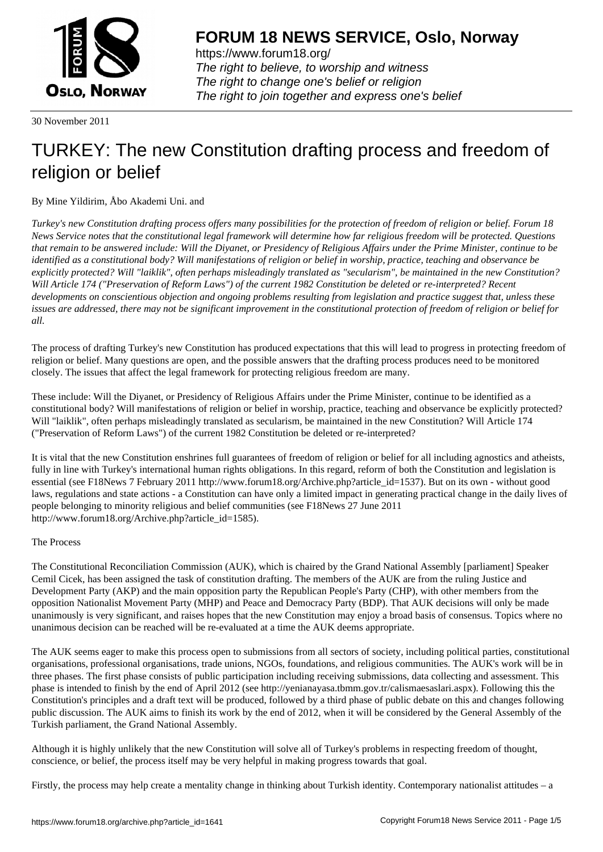

https://www.forum18.org/ The right to believe, to worship and witness The right to change one's belief or religion [The right to join together a](https://www.forum18.org/)nd express one's belief

30 November 2011

# [TURKEY: The n](https://www.forum18.org)ew Constitution drafting process and freedom of religion or belief

By Mine Yildirim, Åbo Akademi Uni. and

*Turkey's new Constitution drafting process offers many possibilities for the protection of freedom of religion or belief. Forum 18 News Service notes that the constitutional legal framework will determine how far religious freedom will be protected. Questions that remain to be answered include: Will the Diyanet, or Presidency of Religious Affairs under the Prime Minister, continue to be identified as a constitutional body? Will manifestations of religion or belief in worship, practice, teaching and observance be explicitly protected? Will "laiklik", often perhaps misleadingly translated as "secularism", be maintained in the new Constitution? Will Article 174 ("Preservation of Reform Laws") of the current 1982 Constitution be deleted or re-interpreted? Recent developments on conscientious objection and ongoing problems resulting from legislation and practice suggest that, unless these issues are addressed, there may not be significant improvement in the constitutional protection of freedom of religion or belief for all.*

The process of drafting Turkey's new Constitution has produced expectations that this will lead to progress in protecting freedom of religion or belief. Many questions are open, and the possible answers that the drafting process produces need to be monitored closely. The issues that affect the legal framework for protecting religious freedom are many.

These include: Will the Diyanet, or Presidency of Religious Affairs under the Prime Minister, continue to be identified as a constitutional body? Will manifestations of religion or belief in worship, practice, teaching and observance be explicitly protected? Will "laiklik", often perhaps misleadingly translated as secularism, be maintained in the new Constitution? Will Article 174 ("Preservation of Reform Laws") of the current 1982 Constitution be deleted or re-interpreted?

It is vital that the new Constitution enshrines full guarantees of freedom of religion or belief for all including agnostics and atheists, fully in line with Turkey's international human rights obligations. In this regard, reform of both the Constitution and legislation is essential (see F18News 7 February 2011 http://www.forum18.org/Archive.php?article\_id=1537). But on its own - without good laws, regulations and state actions - a Constitution can have only a limited impact in generating practical change in the daily lives of people belonging to minority religious and belief communities (see F18News 27 June 2011 http://www.forum18.org/Archive.php?article\_id=1585).

# The Process

The Constitutional Reconciliation Commission (AUK), which is chaired by the Grand National Assembly [parliament] Speaker Cemil Cicek, has been assigned the task of constitution drafting. The members of the AUK are from the ruling Justice and Development Party (AKP) and the main opposition party the Republican People's Party (CHP), with other members from the opposition Nationalist Movement Party (MHP) and Peace and Democracy Party (BDP). That AUK decisions will only be made unanimously is very significant, and raises hopes that the new Constitution may enjoy a broad basis of consensus. Topics where no unanimous decision can be reached will be re-evaluated at a time the AUK deems appropriate.

The AUK seems eager to make this process open to submissions from all sectors of society, including political parties, constitutional organisations, professional organisations, trade unions, NGOs, foundations, and religious communities. The AUK's work will be in three phases. The first phase consists of public participation including receiving submissions, data collecting and assessment. This phase is intended to finish by the end of April 2012 (see http://yenianayasa.tbmm.gov.tr/calismaesaslari.aspx). Following this the Constitution's principles and a draft text will be produced, followed by a third phase of public debate on this and changes following public discussion. The AUK aims to finish its work by the end of 2012, when it will be considered by the General Assembly of the Turkish parliament, the Grand National Assembly.

Although it is highly unlikely that the new Constitution will solve all of Turkey's problems in respecting freedom of thought, conscience, or belief, the process itself may be very helpful in making progress towards that goal.

Firstly, the process may help create a mentality change in thinking about Turkish identity. Contemporary nationalist attitudes – a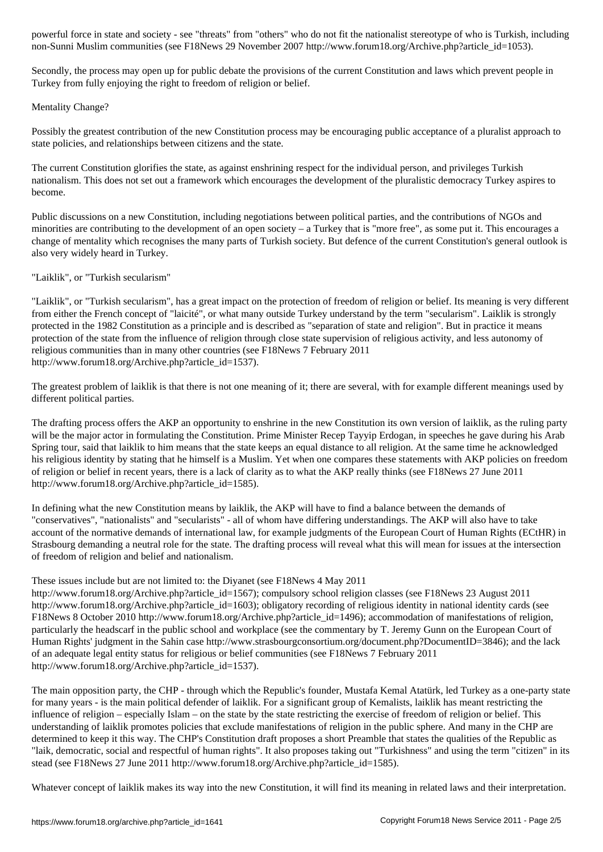Secondly, the process may open up for public debate the provisions of the current Constitution and laws which prevent people in Turkey from fully enjoying the right to freedom of religion or belief.

non-Sunni Muslim communities (see F18News 29 November 2007 http://www.forum18.org/Archive.php?article\_id=1053).

# Mentality Change?

Possibly the greatest contribution of the new Constitution process may be encouraging public acceptance of a pluralist approach to state policies, and relationships between citizens and the state.

The current Constitution glorifies the state, as against enshrining respect for the individual person, and privileges Turkish nationalism. This does not set out a framework which encourages the development of the pluralistic democracy Turkey aspires to become.

Public discussions on a new Constitution, including negotiations between political parties, and the contributions of NGOs and minorities are contributing to the development of an open society – a Turkey that is "more free", as some put it. This encourages a change of mentality which recognises the many parts of Turkish society. But defence of the current Constitution's general outlook is also very widely heard in Turkey.

## "Laiklik", or "Turkish secularism"

"Laiklik", or "Turkish secularism", has a great impact on the protection of freedom of religion or belief. Its meaning is very different from either the French concept of "laicité", or what many outside Turkey understand by the term "secularism". Laiklik is strongly protected in the 1982 Constitution as a principle and is described as "separation of state and religion". But in practice it means protection of the state from the influence of religion through close state supervision of religious activity, and less autonomy of religious communities than in many other countries (see F18News 7 February 2011 http://www.forum18.org/Archive.php?article\_id=1537).

The greatest problem of laiklik is that there is not one meaning of it; there are several, with for example different meanings used by different political parties.

The drafting process offers the AKP an opportunity to enshrine in the new Constitution its own version of laiklik, as the ruling party will be the major actor in formulating the Constitution. Prime Minister Recep Tayyip Erdogan, in speeches he gave during his Arab Spring tour, said that laiklik to him means that the state keeps an equal distance to all religion. At the same time he acknowledged his religious identity by stating that he himself is a Muslim. Yet when one compares these statements with AKP policies on freedom of religion or belief in recent years, there is a lack of clarity as to what the AKP really thinks (see F18News 27 June 2011 http://www.forum18.org/Archive.php?article\_id=1585).

In defining what the new Constitution means by laiklik, the AKP will have to find a balance between the demands of "conservatives", "nationalists" and "secularists" - all of whom have differing understandings. The AKP will also have to take account of the normative demands of international law, for example judgments of the European Court of Human Rights (ECtHR) in Strasbourg demanding a neutral role for the state. The drafting process will reveal what this will mean for issues at the intersection of freedom of religion and belief and nationalism.

#### These issues include but are not limited to: the Diyanet (see F18News 4 May 2011

http://www.forum18.org/Archive.php?article\_id=1567); compulsory school religion classes (see F18News 23 August 2011 http://www.forum18.org/Archive.php?article\_id=1603); obligatory recording of religious identity in national identity cards (see F18News 8 October 2010 http://www.forum18.org/Archive.php?article\_id=1496); accommodation of manifestations of religion, particularly the headscarf in the public school and workplace (see the commentary by T. Jeremy Gunn on the European Court of Human Rights' judgment in the Sahin case http://www.strasbourgconsortium.org/document.php?DocumentID=3846); and the lack of an adequate legal entity status for religious or belief communities (see F18News 7 February 2011 http://www.forum18.org/Archive.php?article\_id=1537).

The main opposition party, the CHP - through which the Republic's founder, Mustafa Kemal Atatürk, led Turkey as a one-party state for many years - is the main political defender of laiklik. For a significant group of Kemalists, laiklik has meant restricting the influence of religion – especially Islam – on the state by the state restricting the exercise of freedom of religion or belief. This understanding of laiklik promotes policies that exclude manifestations of religion in the public sphere. And many in the CHP are determined to keep it this way. The CHP's Constitution draft proposes a short Preamble that states the qualities of the Republic as "laik, democratic, social and respectful of human rights". It also proposes taking out "Turkishness" and using the term "citizen" in its stead (see F18News 27 June 2011 http://www.forum18.org/Archive.php?article\_id=1585).

Whatever concept of laiklik makes its way into the new Constitution, it will find its meaning in related laws and their interpretation.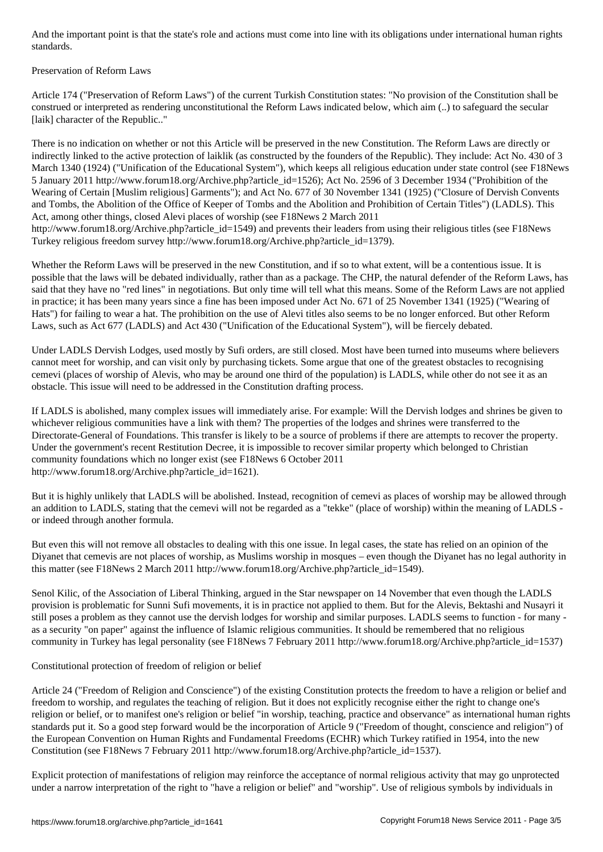## Preservation of Reform Laws

Article 174 ("Preservation of Reform Laws") of the current Turkish Constitution states: "No provision of the Constitution shall be construed or interpreted as rendering unconstitutional the Reform Laws indicated below, which aim (..) to safeguard the secular [laik] character of the Republic.."

There is no indication on whether or not this Article will be preserved in the new Constitution. The Reform Laws are directly or indirectly linked to the active protection of laiklik (as constructed by the founders of the Republic). They include: Act No. 430 of 3 March 1340 (1924) ("Unification of the Educational System"), which keeps all religious education under state control (see F18News 5 January 2011 http://www.forum18.org/Archive.php?article\_id=1526); Act No. 2596 of 3 December 1934 ("Prohibition of the Wearing of Certain [Muslim religious] Garments"); and Act No. 677 of 30 November 1341 (1925) ("Closure of Dervish Convents and Tombs, the Abolition of the Office of Keeper of Tombs and the Abolition and Prohibition of Certain Titles") (LADLS). This Act, among other things, closed Alevi places of worship (see F18News 2 March 2011 http://www.forum18.org/Archive.php?article\_id=1549) and prevents their leaders from using their religious titles (see F18News

Turkey religious freedom survey http://www.forum18.org/Archive.php?article\_id=1379). Whether the Reform Laws will be preserved in the new Constitution, and if so to what extent, will be a contentious issue. It is

possible that the laws will be debated individually, rather than as a package. The CHP, the natural defender of the Reform Laws, has said that they have no "red lines" in negotiations. But only time will tell what this means. Some of the Reform Laws are not applied in practice; it has been many years since a fine has been imposed under Act No. 671 of 25 November 1341 (1925) ("Wearing of Hats") for failing to wear a hat. The prohibition on the use of Alevi titles also seems to be no longer enforced. But other Reform Laws, such as Act 677 (LADLS) and Act 430 ("Unification of the Educational System"), will be fiercely debated.

Under LADLS Dervish Lodges, used mostly by Sufi orders, are still closed. Most have been turned into museums where believers cannot meet for worship, and can visit only by purchasing tickets. Some argue that one of the greatest obstacles to recognising cemevi (places of worship of Alevis, who may be around one third of the population) is LADLS, while other do not see it as an obstacle. This issue will need to be addressed in the Constitution drafting process.

If LADLS is abolished, many complex issues will immediately arise. For example: Will the Dervish lodges and shrines be given to whichever religious communities have a link with them? The properties of the lodges and shrines were transferred to the Directorate-General of Foundations. This transfer is likely to be a source of problems if there are attempts to recover the property. Under the government's recent Restitution Decree, it is impossible to recover similar property which belonged to Christian community foundations which no longer exist (see F18News 6 October 2011 http://www.forum18.org/Archive.php?article\_id=1621).

But it is highly unlikely that LADLS will be abolished. Instead, recognition of cemevi as places of worship may be allowed through an addition to LADLS, stating that the cemevi will not be regarded as a "tekke" (place of worship) within the meaning of LADLS or indeed through another formula.

But even this will not remove all obstacles to dealing with this one issue. In legal cases, the state has relied on an opinion of the Diyanet that cemevis are not places of worship, as Muslims worship in mosques – even though the Diyanet has no legal authority in this matter (see F18News 2 March 2011 http://www.forum18.org/Archive.php?article\_id=1549).

Senol Kilic, of the Association of Liberal Thinking, argued in the Star newspaper on 14 November that even though the LADLS provision is problematic for Sunni Sufi movements, it is in practice not applied to them. But for the Alevis, Bektashi and Nusayri it still poses a problem as they cannot use the dervish lodges for worship and similar purposes. LADLS seems to function - for many as a security "on paper" against the influence of Islamic religious communities. It should be remembered that no religious community in Turkey has legal personality (see F18News 7 February 2011 http://www.forum18.org/Archive.php?article\_id=1537)

Constitutional protection of freedom of religion or belief

Article 24 ("Freedom of Religion and Conscience") of the existing Constitution protects the freedom to have a religion or belief and freedom to worship, and regulates the teaching of religion. But it does not explicitly recognise either the right to change one's religion or belief, or to manifest one's religion or belief "in worship, teaching, practice and observance" as international human rights standards put it. So a good step forward would be the incorporation of Article 9 ("Freedom of thought, conscience and religion") of the European Convention on Human Rights and Fundamental Freedoms (ECHR) which Turkey ratified in 1954, into the new Constitution (see F18News 7 February 2011 http://www.forum18.org/Archive.php?article\_id=1537).

Explicit protection of manifestations of religion may reinforce the acceptance of normal religious activity that may go unprotected under a narrow interpretation of the right to "have a religion or belief" and "worship". Use of religious symbols by individuals in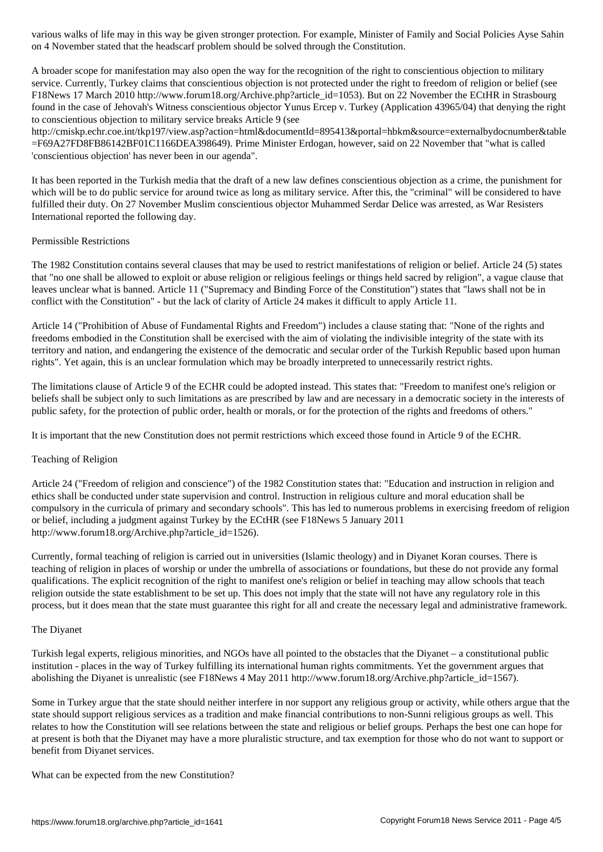A broader scope for manifestation may also open the way for the recognition of the right to conscientious objection to military service. Currently, Turkey claims that conscientious objection is not protected under the right to freedom of religion or belief (see F18News 17 March 2010 http://www.forum18.org/Archive.php?article\_id=1053). But on 22 November the ECtHR in Strasbourg found in the case of Jehovah's Witness conscientious objector Yunus Ercep v. Turkey (Application 43965/04) that denying the right to conscientious objection to military service breaks Article 9 (see

on 4 November stated that the headscarf problem should be solved through the Constitution.

http://cmiskp.echr.coe.int/tkp197/view.asp?action=html&documentId=895413&portal=hbkm&source=externalbydocnumber&table =F69A27FD8FB86142BF01C1166DEA398649). Prime Minister Erdogan, however, said on 22 November that "what is called 'conscientious objection' has never been in our agenda".

It has been reported in the Turkish media that the draft of a new law defines conscientious objection as a crime, the punishment for which will be to do public service for around twice as long as military service. After this, the "criminal" will be considered to have fulfilled their duty. On 27 November Muslim conscientious objector Muhammed Serdar Delice was arrested, as War Resisters International reported the following day.

## Permissible Restrictions

The 1982 Constitution contains several clauses that may be used to restrict manifestations of religion or belief. Article 24 (5) states that "no one shall be allowed to exploit or abuse religion or religious feelings or things held sacred by religion", a vague clause that leaves unclear what is banned. Article 11 ("Supremacy and Binding Force of the Constitution") states that "laws shall not be in conflict with the Constitution" - but the lack of clarity of Article 24 makes it difficult to apply Article 11.

Article 14 ("Prohibition of Abuse of Fundamental Rights and Freedom") includes a clause stating that: "None of the rights and freedoms embodied in the Constitution shall be exercised with the aim of violating the indivisible integrity of the state with its territory and nation, and endangering the existence of the democratic and secular order of the Turkish Republic based upon human rights". Yet again, this is an unclear formulation which may be broadly interpreted to unnecessarily restrict rights.

The limitations clause of Article 9 of the ECHR could be adopted instead. This states that: "Freedom to manifest one's religion or beliefs shall be subject only to such limitations as are prescribed by law and are necessary in a democratic society in the interests of public safety, for the protection of public order, health or morals, or for the protection of the rights and freedoms of others."

It is important that the new Constitution does not permit restrictions which exceed those found in Article 9 of the ECHR.

# Teaching of Religion

Article 24 ("Freedom of religion and conscience") of the 1982 Constitution states that: "Education and instruction in religion and ethics shall be conducted under state supervision and control. Instruction in religious culture and moral education shall be compulsory in the curricula of primary and secondary schools". This has led to numerous problems in exercising freedom of religion or belief, including a judgment against Turkey by the ECtHR (see F18News 5 January 2011 http://www.forum18.org/Archive.php?article\_id=1526).

Currently, formal teaching of religion is carried out in universities (Islamic theology) and in Diyanet Koran courses. There is teaching of religion in places of worship or under the umbrella of associations or foundations, but these do not provide any formal qualifications. The explicit recognition of the right to manifest one's religion or belief in teaching may allow schools that teach religion outside the state establishment to be set up. This does not imply that the state will not have any regulatory role in this process, but it does mean that the state must guarantee this right for all and create the necessary legal and administrative framework.

#### The Diyanet

Turkish legal experts, religious minorities, and NGOs have all pointed to the obstacles that the Diyanet – a constitutional public institution - places in the way of Turkey fulfilling its international human rights commitments. Yet the government argues that abolishing the Diyanet is unrealistic (see F18News 4 May 2011 http://www.forum18.org/Archive.php?article\_id=1567).

Some in Turkey argue that the state should neither interfere in nor support any religious group or activity, while others argue that the state should support religious services as a tradition and make financial contributions to non-Sunni religious groups as well. This relates to how the Constitution will see relations between the state and religious or belief groups. Perhaps the best one can hope for at present is both that the Diyanet may have a more pluralistic structure, and tax exemption for those who do not want to support or benefit from Diyanet services.

What can be expected from the new Constitution?